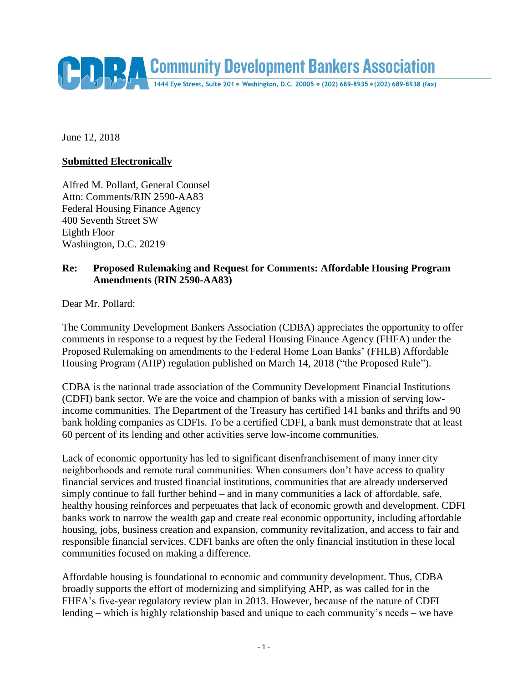Community Development Bankers Association

June 12, 2018

## **Submitted Electronically**

Alfred M. Pollard, General Counsel Attn: Comments/RIN 2590-AA83 Federal Housing Finance Agency 400 Seventh Street SW Eighth Floor Washington, D.C. 20219

## **Re: Proposed Rulemaking and Request for Comments: Affordable Housing Program Amendments (RIN 2590-AA83)**

Dear Mr. Pollard:

The Community Development Bankers Association (CDBA) appreciates the opportunity to offer comments in response to a request by the Federal Housing Finance Agency (FHFA) under the Proposed Rulemaking on amendments to the Federal Home Loan Banks' (FHLB) Affordable Housing Program (AHP) regulation published on March 14, 2018 ("the Proposed Rule").

CDBA is the national trade association of the Community Development Financial Institutions (CDFI) bank sector. We are the voice and champion of banks with a mission of serving lowincome communities. The Department of the Treasury has certified 141 banks and thrifts and 90 bank holding companies as CDFIs. To be a certified CDFI, a bank must demonstrate that at least 60 percent of its lending and other activities serve low-income communities.

Lack of economic opportunity has led to significant disenfranchisement of many inner city neighborhoods and remote rural communities. When consumers don't have access to quality financial services and trusted financial institutions, communities that are already underserved simply continue to fall further behind – and in many communities a lack of affordable, safe, healthy housing reinforces and perpetuates that lack of economic growth and development. CDFI banks work to narrow the wealth gap and create real economic opportunity, including affordable housing, jobs, business creation and expansion, community revitalization, and access to fair and responsible financial services. CDFI banks are often the only financial institution in these local communities focused on making a difference.

Affordable housing is foundational to economic and community development. Thus, CDBA broadly supports the effort of modernizing and simplifying AHP, as was called for in the FHFA's five-year regulatory review plan in 2013. However, because of the nature of CDFI lending – which is highly relationship based and unique to each community's needs – we have